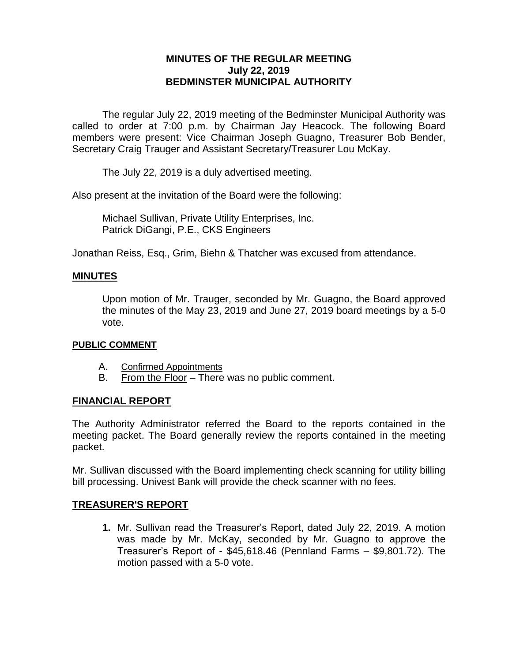# **MINUTES OF THE REGULAR MEETING July 22, 2019 BEDMINSTER MUNICIPAL AUTHORITY**

The regular July 22, 2019 meeting of the Bedminster Municipal Authority was called to order at 7:00 p.m. by Chairman Jay Heacock. The following Board members were present: Vice Chairman Joseph Guagno, Treasurer Bob Bender, Secretary Craig Trauger and Assistant Secretary/Treasurer Lou McKay.

The July 22, 2019 is a duly advertised meeting.

Also present at the invitation of the Board were the following:

Michael Sullivan, Private Utility Enterprises, Inc. Patrick DiGangi, P.E., CKS Engineers

Jonathan Reiss, Esq., Grim, Biehn & Thatcher was excused from attendance.

### **MINUTES**

Upon motion of Mr. Trauger, seconded by Mr. Guagno, the Board approved the minutes of the May 23, 2019 and June 27, 2019 board meetings by a 5-0 vote.

#### **PUBLIC COMMENT**

- A. Confirmed Appointments
- B. From the Floor There was no public comment.

#### **FINANCIAL REPORT**

The Authority Administrator referred the Board to the reports contained in the meeting packet. The Board generally review the reports contained in the meeting packet.

Mr. Sullivan discussed with the Board implementing check scanning for utility billing bill processing. Univest Bank will provide the check scanner with no fees.

# **TREASURER'S REPORT**

**1.** Mr. Sullivan read the Treasurer's Report, dated July 22, 2019. A motion was made by Mr. McKay, seconded by Mr. Guagno to approve the Treasurer's Report of - \$45,618.46 (Pennland Farms – \$9,801.72). The motion passed with a 5-0 vote.